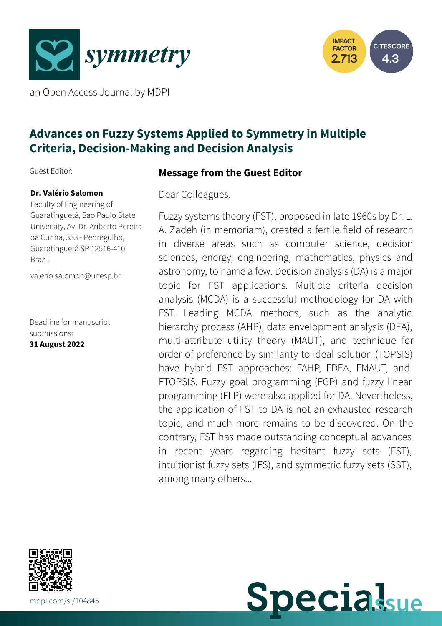



an Open Access Journal by MDPI

# **Advances on Fuzzy Systems Applied to Symmetry in Multiple Criteria, Decision-Making and Decision Analysis**

Guest Editor:

#### **Dr. Valério Salomon**

Faculty of Engineering of Guaratinguetá, Sao Paulo State University, Av. Dr. Ariberto Pereira da Cunha, 333 - Pedregulho, Guaratinguetá SP 12516-410, Brazil

[valerio.salomon@unesp.br](mailto:valerio.salomon@unesp.br)

Deadline for manuscript submissions: **31 August 2022**

## **Message from the Guest Editor**

Dear Colleagues,

Fuzzy systems theory (FST), proposed in late 1960s by Dr. L. A. Zadeh (in memoriam), created a fertile field of research in diverse areas such as computer science, decision sciences, energy, engineering, mathematics, physics and astronomy, to name a few. Decision analysis (DA) is a major topic for FST applications. Multiple criteria decision analysis (MCDA) is a successful methodology for DA with FST. Leading MCDA methods, such as the analytic hierarchy process (AHP), data envelopment analysis (DEA), multi-attribute utility theory (MAUT), and technique for order of preference by similarity to ideal solution (TOPSIS) have hybrid FST approaches: FAHP, FDEA, FMAUT, and FTOPSIS. Fuzzy goal programming (FGP) and fuzzy linear programming (FLP) were also applied for DA. Nevertheless, the application of FST to DA is not an exhausted research topic, and much more remains to be discovered. On the contrary, FST has made outstanding conceptual advances in recent years regarding hesitant fuzzy sets (FST), intuitionist fuzzy sets (IFS), and symmetric fuzzy sets (SST), among many others...



**Specialsue**